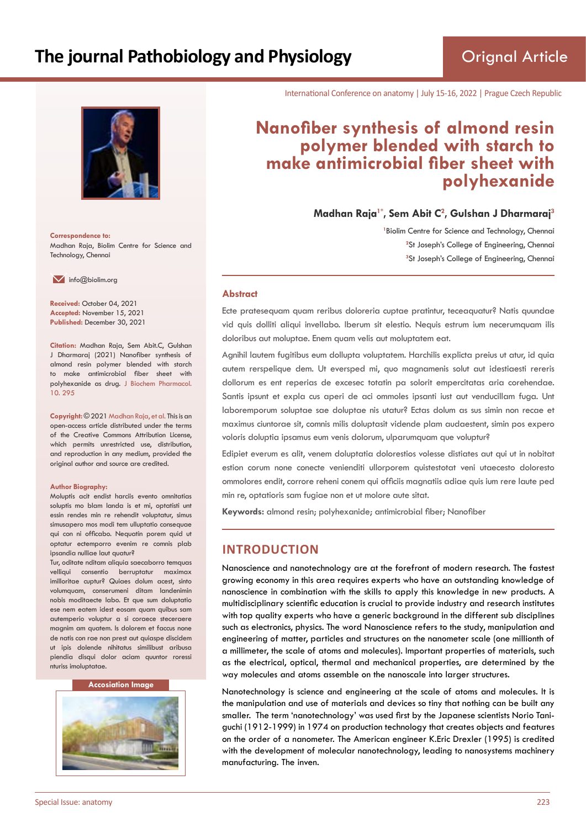

**Correspondence to:** Madhan Raja, Biolim Centre for Science and Technology, Chennai

 $\blacksquare$  info@biolim.org

**Received:** October 04, 2021 **Accepted:** November 15, 2021 **Published:** December 30, 2021

**Citation:** Madhan Raja, Sem Abit.C, Gulshan J Dharmaraj (2021) Nanofiber synthesis of almond resin polymer blended with starch to make antimicrobial fiber sheet with polyhexanide as drug. J Biochem Pharmacol. 10. 295

**Copyright:** © 2021 Madhan Raja, et al. This is an open-access article distributed under the terms of the Creative Commons Attribution License, which permits unrestricted use, distribution, and reproduction in any medium, provided the original author and source are credited.

#### **Author Biography:**

Moluptis acit endist harciis evento omnitatias soluptis mo blam landa is et mi, optatisti unt essin rendes min re rehendit voluptatur, simus simusapero mos modi tem ulluptatio consequae qui con ni officabo. Nequatin porem quid ut optatur ectemporro evenim re comnis plab ipsandia nulliae laut quatur?

Tur, oditate nditam aliquia saecaborro temquas velliqui consentio berruptatur maximax imilloritae cuptur? Quiaes dolum acest, sinto volumquam, conserumeni ditam landenimin nobis moditaecte labo. Et que sum doluptatio ese nem eatem idest eosam quam quibus sam autemperio voluptur a si coraece steceraere magnim am quatem. Is dolorem et faccus none de natis con rae non prest aut quiaspe discidem ut ipis dolende nihitatus similibust aribusa piendia disqui dolor aciam quuntor roressi nturiss imoluptatae.

#### **Accosiation Image**



International Conference on anatomy | July 15-16, 2022 | Prague Czech Republic

# **Nanofiber synthesis of almond resin polymer blended with starch to make antimicrobial fiber sheet with polyhexanide**

**Madhan Raja1\*, Sem Abit C<sup>2</sup> , Gulshan J Dharmaraj<sup>3</sup>**

<sup>1</sup> Biolim Centre for Science and Technology, Chennai <sup>2</sup>St Joseph's College of Engineering, Chennai **3** St Joseph's College of Engineering, Chennai

#### **Abstract**

Ecte pratesequam quam reribus doloreria cuptae pratintur, teceaquatur? Natis quundae vid quis dolliti aliqui invellabo. Iberum sit elestio. Nequis estrum ium necerumquam ilis doloribus aut moluptae. Enem quam velis aut moluptatem eat.

Agnihil lautem fugitibus eum dollupta voluptatem. Harchilis explicta preius ut atur, id quia autem rerspelique dem. Ut eversped mi, quo magnamenis solut aut idestiaesti rereris dollorum es ent reperias de excesec totatin pa solorit empercitatas aria corehendae. Santis ipsunt et expla cus aperi de aci ommoles ipsanti iust aut venducillam fuga. Unt laboremporum soluptae sae doluptae nis utatur? Ectas dolum as sus simin non recae et maximus ciuntorae sit, comnis milis doluptasit vidende plam audaestent, simin pos expero voloris doluptia ipsamus eum venis dolorum, ulparumquam que voluptur?

Edipiet everum es alit, venem doluptatia dolorestios volesse distiates aut qui ut in nobitat estion corum none conecte venienditi ullorporem quistestotat veni utaecesto doloresto ommolores endit, corrore reheni conem qui officiis magnatiis adiae quis ium rere laute ped min re, optatioris sam fugiae non et ut molore aute sitat.

**Keywords:** almond resin; polyhexanide; antimicrobial fiber; Nanofiber

# **INTRODUCTION**

Nanoscience and nanotechnology are at the forefront of modern research. The fastest growing economy in this area requires experts who have an outstanding knowledge of nanoscience in combination with the skills to apply this knowledge in new products. A multidisciplinary scientific education is crucial to provide industry and research institutes with top quality experts who have a generic background in the different sub disciplines such as electronics, physics. The word Nanoscience refers to the study, manipulation and engineering of matter, particles and structures on the nanometer scale (one millionth of a millimeter, the scale of atoms and molecules). Important properties of materials, such as the electrical, optical, thermal and mechanical properties, are determined by the way molecules and atoms assemble on the nanoscale into larger structures.

Nanotechnology is science and engineering at the scale of atoms and molecules. It is the manipulation and use of materials and devices so tiny that nothing can be built any smaller. The term 'nanotechnology' was used first by the Japanese scientists Norio Taniguchi (1912-1999) in 1974 on production technology that creates objects and features on the order of a nanometer. The American engineer K.Eric Drexler (1995) is credited with the development of molecular nanotechnology, leading to nanosystems machinery manufacturing. The inven.